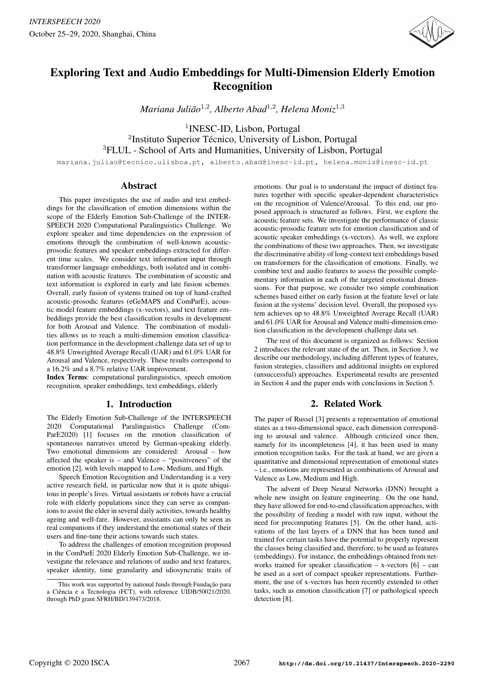

# Exploring Text and Audio Embeddings for Multi-Dimension Elderly Emotion Recognition

*Mariana Juliao˜* 1,2 *, Alberto Abad*<sup>1</sup>,<sup>2</sup> *, Helena Moniz*<sup>1</sup>,<sup>3</sup>

1 INESC-ID, Lisbon, Portugal <sup>2</sup>Instituto Superior Técnico, University of Lisbon, Portugal <sup>3</sup>FLUL - School of Arts and Humanities, University of Lisbon, Portugal

mariana.juliao@tecnico.ulisboa.pt, alberto.abad@inesc-id.pt, helena.moniz@inesc-id.pt

# Abstract

This paper investigates the use of audio and text embeddings for the classification of emotion dimensions within the scope of the Elderly Emotion Sub-Challenge of the INTER-SPEECH 2020 Computational Paralinguistics Challenge. We explore speaker and time dependencies on the expression of emotions through the combination of well-known acousticprosodic features and speaker embeddings extracted for different time scales. We consider text information input through transformer language embeddings, both isolated and in combination with acoustic features. The combination of acoustic and text information is explored in early and late fusion schemes. Overall, early fusion of systems trained on top of hand-crafted acoustic-prosodic features (eGeMAPS and ComParE), acoustic model feature embeddings (x-vectors), and text feature embeddings provide the best classification results in development for both Arousal and Valence. The combination of modalities allows us to reach a multi-dimension emotion classification performance in the development challenge data set of up to 48.8% Unweighted Average Recall (UAR) and 61.0% UAR for Arousal and Valence, respectively. These results correspond to a 16.2% and a 8.7% relative UAR improvement.

Index Terms: computational paralinguistics, speech emotion recognition, speaker embeddings, text embeddings, elderly

# 1. Introduction

The Elderly Emotion Sub-Challenge of the INTERSPEECH 2020 Computational Paralinguistics Challenge (Com-ParE2020) [1] focuses on the emotion classification of spontaneous narratives uttered by German-speaking elderly. Two emotional dimensions are considered: Arousal – how affected the speaker is – and Valence – "positiveness" of the emotion [2], with levels mapped to Low, Medium, and High.

Speech Emotion Recognition and Understanding is a very active research field, in particular now that it is quite ubiquitous in people's lives. Virtual assistants or robots have a crucial role with elderly populations since they can serve as companions to assist the elder in several daily activities, towards healthy ageing and well-fare. However, assistants can only be seen as real companions if they understand the emotional states of their users and fine-tune their actions towards such states.

To address the challenges of emotion recognition proposed in the ComParE 2020 Elderly Emotion Sub-Challenge, we investigate the relevance and relations of audio and text features, speaker identity, time granularity and idiosyncratic traits of

emotions. Our goal is to understand the impact of distinct features together with specific speaker-dependent characteristics on the recognition of Valence/Arousal. To this end, our proposed approach is structured as follows. First, we explore the acoustic feature sets. We investigate the performance of classic acoustic-prosodic feature sets for emotion classification and of acoustic speaker embeddings (x-vectors). As well, we explore the combinations of these two approaches. Then, we investigate the discriminative ability of long-context text embeddings based on transformers for the classification of emotions. Finally, we combine text and audio features to assess the possible complementary information in each of the targeted emotional dimensions. For that purpose, we consider two simple combination schemes based either on early fusion at the feature level or late fusion at the systems' decision level. Overall, the proposed system achieves up to 48.8% Unweighted Average Recall (UAR) and 61.0% UAR for Arousal and Valence multi-dimension emotion classification in the development challenge data set.

The rest of this document is organized as follows: Section 2 introduces the relevant state of the art. Then, in Section 3, we describe our methodology, including different types of features, fusion strategies, classifiers and additional insights on explored (unsuccessful) approaches. Experimental results are presented in Section 4 and the paper ends with conclusions in Section 5.

# 2. Related Work

The paper of Russel [3] presents a representation of emotional states as a two-dimensional space, each dimension corresponding to arousal and valence. Although criticized since then, namely for its incompleteness [4], it has been used in many emotion recognition tasks. For the task at hand, we are given a quantitative and dimensional representation of emotional states – i.e., emotions are represented as combinations of Arousal and Valence as Low, Medium and High.

The advent of Deep Neural Networks (DNN) brought a whole new insight on feature engineering. On the one hand, they have allowed for end-to-end classification approaches, with the possibility of feeding a model with raw input, without the need for precomputing features [5]. On the other hand, activations of the last layers of a DNN that has been tuned and trained for certain tasks have the potential to properly represent the classes being classified and, therefore, to be used as features (embeddings). For instance, the embeddings obtained from networks trained for speaker classification – x-vectors  $[6]$  – can be used as a sort of compact speaker representations. Furthermore, the use of x-vectors has been recently extended to other tasks, such as emotion classification [7] or pathological speech detection [8].

This work was supported by national funds through Fundacão para a Ciência e a Tecnologia (FCT), with reference UIDB/50021/2020, through PhD grant SFRH/BD/139473/2018.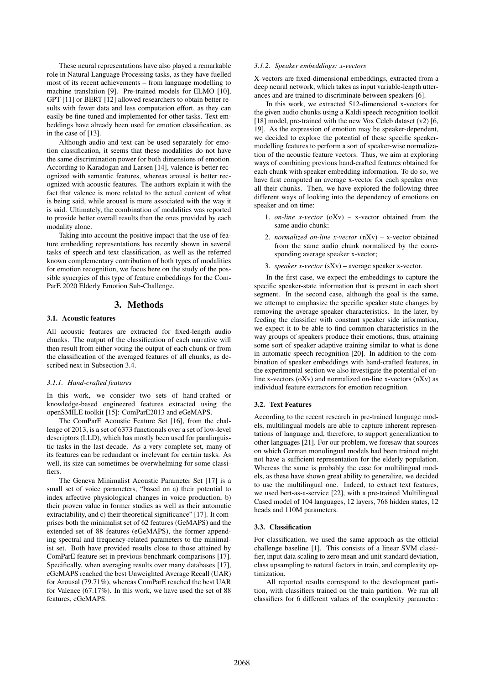These neural representations have also played a remarkable role in Natural Language Processing tasks, as they have fuelled most of its recent achievements – from language modelling to machine translation [9]. Pre-trained models for ELMO [10], GPT [11] or BERT [12] allowed researchers to obtain better results with fewer data and less computation effort, as they can easily be fine-tuned and implemented for other tasks. Text embeddings have already been used for emotion classification, as in the case of [13].

Although audio and text can be used separately for emotion classification, it seems that these modalities do not have the same discrimination power for both dimensions of emotion. According to Karadogan and Larsen [14], valence is better recognized with semantic features, whereas arousal is better recognized with acoustic features. The authors explain it with the fact that valence is more related to the actual content of what is being said, while arousal is more associated with the way it is said. Ultimately, the combination of modalities was reported to provide better overall results than the ones provided by each modality alone.

Taking into account the positive impact that the use of feature embedding representations has recently shown in several tasks of speech and text classification, as well as the referred known complementary contribution of both types of modalities for emotion recognition, we focus here on the study of the possible synergies of this type of feature embeddings for the Com-ParE 2020 Elderly Emotion Sub-Challenge.

# 3. Methods

#### 3.1. Acoustic features

All acoustic features are extracted for fixed-length audio chunks. The output of the classification of each narrative will then result from either voting the output of each chunk or from the classification of the averaged features of all chunks, as described next in Subsection 3.4.

# *3.1.1. Hand-crafted features*

In this work, we consider two sets of hand-crafted or knowledge-based engineered features extracted using the openSMILE toolkit [15]: ComParE2013 and eGeMAPS.

The ComParE Acoustic Feature Set [16], from the challenge of 2013, is a set of 6373 functionals over a set of low-level descriptors (LLD), which has mostly been used for paralinguistic tasks in the last decade. As a very complete set, many of its features can be redundant or irrelevant for certain tasks. As well, its size can sometimes be overwhelming for some classifiers.

The Geneva Minimalist Acoustic Parameter Set [17] is a small set of voice parameters, "based on a) their potential to index affective physiological changes in voice production, b) their proven value in former studies as well as their automatic extractability, and c) their theoretical significance" [17]. It comprises both the minimalist set of 62 features (GeMAPS) and the extended set of 88 features (eGeMAPS), the former appending spectral and frequency-related parameters to the minimalist set. Both have provided results close to those attained by ComParE feature set in previous benchmark comparisons [17]. Specifically, when averaging results over many databases [17], eGeMAPS reached the best Unweighted Average Recall (UAR) for Arousal (79.71%), whereas ComParE reached the best UAR for Valence (67.17%). In this work, we have used the set of 88 features, eGeMAPS.

#### *3.1.2. Speaker embeddings: x-vectors*

X-vectors are fixed-dimensional embeddings, extracted from a deep neural network, which takes as input variable-length utterances and are trained to discriminate between speakers [6].

In this work, we extracted 512-dimensional x-vectors for the given audio chunks using a Kaldi speech recognition toolkit [18] model, pre-trained with the new Vox Celeb dataset  $(v2)$  [6, 19]. As the expression of emotion may be speaker-dependent, we decided to explore the potential of these specific speakermodelling features to perform a sort of speaker-wise normalization of the acoustic feature vectors. Thus, we aim at exploring ways of combining previous hand-crafted features obtained for each chunk with speaker embedding information. To do so, we have first computed an average x-vector for each speaker over all their chunks. Then, we have explored the following three different ways of looking into the dependency of emotions on speaker and on time:

- 1. *on-line x-vector*  $(oXv)$  x-vector obtained from the same audio chunk;
- 2. *normalized on-line x-vector* (nXv) x-vector obtained from the same audio chunk normalized by the corresponding average speaker x-vector;
- 3. *speaker x-vector* (sXv) average speaker x-vector.

In the first case, we expect the embeddings to capture the specific speaker-state information that is present in each short segment. In the second case, although the goal is the same, we attempt to emphasize the specific speaker state changes by removing the average speaker characteristics. In the later, by feeding the classifier with constant speaker side information, we expect it to be able to find common characteristics in the way groups of speakers produce their emotions, thus, attaining some sort of speaker adaptive training similar to what is done in automatic speech recognition [20]. In addition to the combination of speaker embeddings with hand-crafted features, in the experimental section we also investigate the potential of online x-vectors ( $oXv$ ) and normalized on-line x-vectors ( $nXv$ ) as individual feature extractors for emotion recognition.

# 3.2. Text Features

According to the recent research in pre-trained language models, multilingual models are able to capture inherent representations of language and, therefore, to support generalization to other languages [21]. For our problem, we foresaw that sources on which German monolingual models had been trained might not have a sufficient representation for the elderly population. Whereas the same is probably the case for multilingual models, as these have shown great ability to generalize, we decided to use the multilingual one. Indeed, to extract text features, we used bert-as-a-service [22], with a pre-trained Multilingual Cased model of 104 languages, 12 layers, 768 hidden states, 12 heads and 110M parameters.

# 3.3. Classification

For classification, we used the same approach as the official challenge baseline [1]. This consists of a linear SVM classifier, input data scaling to zero mean and unit standard deviation, class upsampling to natural factors in train, and complexity optimization.

All reported results correspond to the development partition, with classifiers trained on the train partition. We ran all classifiers for 6 different values of the complexity parameter: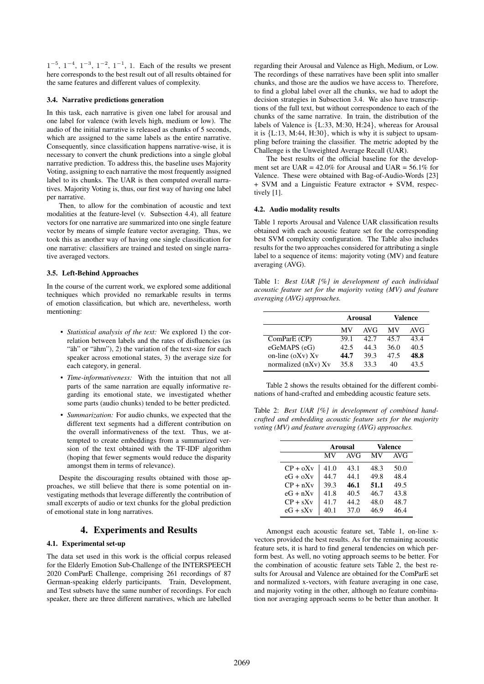$1^{-5}$ ,  $1^{-4}$ ,  $1^{-3}$ ,  $1^{-2}$ ,  $1^{-1}$ , 1. Each of the results we present here corresponds to the best result out of all results obtained for the same features and different values of complexity.

#### 3.4. Narrative predictions generation

In this task, each narrative is given one label for arousal and one label for valence (with levels high, medium or low). The audio of the initial narrative is released as chunks of 5 seconds, which are assigned to the same labels as the entire narrative. Consequently, since classification happens narrative-wise, it is necessary to convert the chunk predictions into a single global narrative prediction. To address this, the baseline uses Majority Voting, assigning to each narrative the most frequently assigned label to its chunks. The UAR is then computed overall narratives. Majority Voting is, thus, our first way of having one label per narrative.

Then, to allow for the combination of acoustic and text modalities at the feature-level (v. Subsection 4.4), all feature vectors for one narrative are summarized into one single feature vector by means of simple feature vector averaging. Thus, we took this as another way of having one single classification for one narrative: classifiers are trained and tested on single narrative averaged vectors.

#### 3.5. Left-Behind Approaches

In the course of the current work, we explored some additional techniques which provided no remarkable results in terms of emotion classification, but which are, nevertheless, worth mentioning:

- *Statistical analysis of the text:* We explored 1) the correlation between labels and the rates of disfluencies (as " $\ddot{a}$ h" or " $\ddot{a}$ hm"), 2) the variation of the text-size for each speaker across emotional states, 3) the average size for each category, in general.
- *Time-informativeness:* With the intuition that not all parts of the same narration are equally informative regarding its emotional state, we investigated whether some parts (audio chunks) tended to be better predicted.
- *Summarization:* For audio chunks, we expected that the different text segments had a different contribution on the overall informativeness of the text. Thus, we attempted to create embeddings from a summarized version of the text obtained with the TF-IDF algorithm (hoping that fewer segments would reduce the disparity amongst them in terms of relevance).

Despite the discouraging results obtained with those approaches, we still believe that there is some potential on investigating methods that leverage differently the contribution of small excerpts of audio or text chunks for the global prediction of emotional state in long narratives.

# 4. Experiments and Results

#### 4.1. Experimental set-up

The data set used in this work is the official corpus released for the Elderly Emotion Sub-Challenge of the INTERSPEECH 2020 ComParE Challenge, comprising 261 recordings of 87 German-speaking elderly participants. Train, Development, and Test subsets have the same number of recordings. For each speaker, there are three different narratives, which are labelled regarding their Arousal and Valence as High, Medium, or Low. The recordings of these narratives have been split into smaller chunks, and those are the audios we have access to. Therefore, to find a global label over all the chunks, we had to adopt the decision strategies in Subsection 3.4. We also have transcriptions of the full text, but without correspondence to each of the chunks of the same narrative. In train, the distribution of the labels of Valence is {L:33, M:30, H:24}, whereas for Arousal it is {L:13, M:44, H:30}, which is why it is subject to upsampling before training the classifier. The metric adopted by the Challenge is the Unweighted Average Recall (UAR).

The best results of the official baseline for the development set are UAR =  $42.0\%$  for Arousal and UAR =  $56.1\%$  for Valence. These were obtained with Bag-of-Audio-Words [23] + SVM and a Linguistic Feature extractor + SVM, respectively [1].

#### 4.2. Audio modality results

Table 1 reports Arousal and Valence UAR classification results obtained with each acoustic feature set for the corresponding best SVM complexity configuration. The Table also includes results for the two approaches considered for attributing a single label to a sequence of items: majority voting (MV) and feature averaging (AVG).

Table 1: *Best UAR [%] in development of each individual acoustic feature set for the majority voting (MV) and feature averaging (AVG) approaches.*

|                     | <b>Arousal</b> |      | Valence |      |
|---------------------|----------------|------|---------|------|
|                     |                |      |         |      |
|                     | МV             | AVG  | МV      | AVG  |
| ComParE (CP)        | 39.1           | 42.7 | 45.7    | 434  |
| eGeMAPS (eG)        | 42.5           | 44.3 | 36.0    | 40.5 |
| on-line $(oXv) Xv$  | 44.7           | 39.3 | 47.5    | 48.8 |
| normalized (nXv) Xv | 35.8           | 33.3 | 40      | 43.5 |

Table 2 shows the results obtained for the different combinations of hand-crafted and embedding acoustic feature sets.

Table 2: *Best UAR [%] in development of combined handcrafted and embedding acoustic feature sets for the majority voting (MV) and feature averaging (AVG) approaches.*

|            |      | <b>Arousal</b> | Valence |            |  |
|------------|------|----------------|---------|------------|--|
|            | MV   | AVG            | MV      | <b>AVG</b> |  |
| $CP + 0Xv$ | 41.0 | 43.1           | 48.3    | 50.0       |  |
| $eG + oXv$ | 44.7 | 44.1           | 49.8    | 48.4       |  |
| $CP + nXv$ | 39.3 | 46.1           | 51.1    | 49.5       |  |
| $eG + nXv$ | 41.8 | 40.5           | 46.7    | 43.8       |  |
| $CP + sXv$ | 41.7 | 44.2           | 48.0    | 48.7       |  |
| $eG + sXv$ | 40.1 | 37.0           | 46.9    | 46.4       |  |

Amongst each acoustic feature set, Table 1, on-line xvectors provided the best results. As for the remaining acoustic feature sets, it is hard to find general tendencies on which perform best. As well, no voting approach seems to be better. For the combination of acoustic feature sets Table 2, the best results for Arousal and Valence are obtained for the ComParE set and normalized x-vectors, with feature averaging in one case, and majority voting in the other, although no feature combination nor averaging approach seems to be better than another. It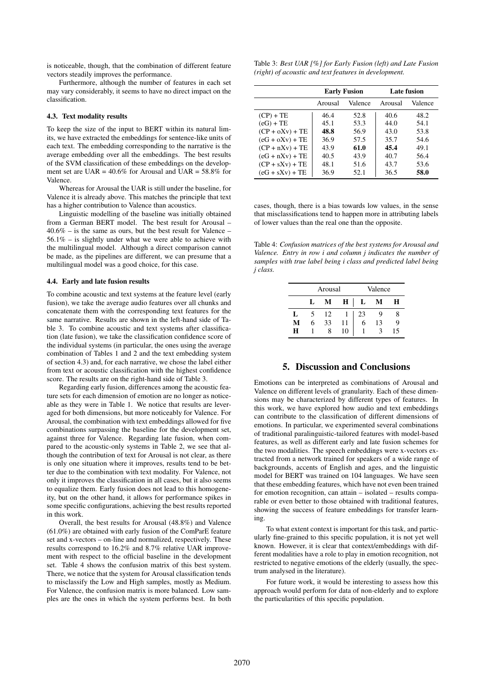is noticeable, though, that the combination of different feature vectors steadily improves the performance.

Furthermore, although the number of features in each set may vary considerably, it seems to have no direct impact on the classification.

#### 4.3. Text modality results

To keep the size of the input to BERT within its natural limits, we have extracted the embeddings for sentence-like units of each text. The embedding corresponding to the narrative is the average embedding over all the embeddings. The best results of the SVM classification of these embeddings on the development set are UAR =  $40.6\%$  for Arousal and UAR =  $58.8\%$  for Valence.

Whereas for Arousal the UAR is still under the baseline, for Valence it is already above. This matches the principle that text has a higher contribution to Valence than acoustics.

Linguistic modelling of the baseline was initially obtained from a German BERT model. The best result for Arousal –  $40.6\%$  – is the same as ours, but the best result for Valence –  $56.1\%$  – is slightly under what we were able to achieve with the multilingual model. Although a direct comparison cannot be made, as the pipelines are different, we can presume that a multilingual model was a good choice, for this case.

#### 4.4. Early and late fusion results

To combine acoustic and text systems at the feature level (early fusion), we take the average audio features over all chunks and concatenate them with the corresponding text features for the same narrative. Results are shown in the left-hand side of Table 3. To combine acoustic and text systems after classification (late fusion), we take the classification confidence score of the individual systems (in particular, the ones using the average combination of Tables 1 and 2 and the text embedding system of section 4.3) and, for each narrative, we chose the label either from text or acoustic classification with the highest confidence score. The results are on the right-hand side of Table 3.

Regarding early fusion, differences among the acoustic feature sets for each dimension of emotion are no longer as noticeable as they were in Table 1. We notice that results are leveraged for both dimensions, but more noticeably for Valence. For Arousal, the combination with text embeddings allowed for five combinations surpassing the baseline for the development set, against three for Valence. Regarding late fusion, when compared to the acoustic-only systems in Table 2, we see that although the contribution of text for Arousal is not clear, as there is only one situation where it improves, results tend to be better due to the combination with text modality. For Valence, not only it improves the classification in all cases, but it also seems to equalize them. Early fusion does not lead to this homogeneity, but on the other hand, it allows for performance spikes in some specific configurations, achieving the best results reported in this work.

Overall, the best results for Arousal (48.8%) and Valence (61.0%) are obtained with early fusion of the ComParE feature set and x-vectors – on-line and normalized, respectively. These results correspond to 16.2% and 8.7% relative UAR improvement with respect to the official baseline in the development set. Table 4 shows the confusion matrix of this best system. There, we notice that the system for Arousal classification tends to misclassify the Low and High samples, mostly as Medium. For Valence, the confusion matrix is more balanced. Low samples are the ones in which the system performs best. In both

|                                                       | Table 3: Best UAR [%] for Early Fusion (left) and Late Fusion |
|-------------------------------------------------------|---------------------------------------------------------------|
| (right) of acoustic and text features in development. |                                                               |

|                   | <b>Early Fusion</b> |         | <b>Late fusion</b> |         |  |
|-------------------|---------------------|---------|--------------------|---------|--|
|                   | Arousal             | Valence | Arousal            | Valence |  |
| $(CP) + TE$       | 46.4                | 52.8    | 40.6               | 48.2    |  |
| $(eG) + TE$       | 45.1                | 53.3    | 44.0               | 54.1    |  |
| $(CP + oXv) + TE$ | 48.8                | 56.9    | 43.0               | 53.8    |  |
| $(eG + oXv) + TE$ | 36.9                | 57.5    | 35.7               | 54.6    |  |
| $(CP + nXv) + TE$ | 43.9                | 61.0    | 45.4               | 49.1    |  |
| $(eG + nXv) + TE$ | 40.5                | 43.9    | 40.7               | 56.4    |  |
| $(CP + sXv) + TE$ | 48.1                | 51.6    | 43.7               | 53.6    |  |
| $(eG + sXv) + TE$ | 36.9                | 52.1    | 36.5               | 58.0    |  |

cases, though, there is a bias towards low values, in the sense that misclassifications tend to happen more in attributing labels of lower values than the real one than the opposite.

Table 4: *Confusion matrices of the best systems for Arousal and Valence. Entry in row i and column j indicates the number of samples with true label being i class and predicted label being j class.*

|    | Arousal |    |    | Valence |    |    |
|----|---------|----|----|---------|----|----|
|    | L       | М  | H  | L       | M  | Н  |
| Ι. |         | 12 |    | 23      |    | 8  |
| M  | 6       | 33 | 11 | 6       | 13 | 9  |
| н  |         |    | 10 |         |    | ۱5 |

# 5. Discussion and Conclusions

Emotions can be interpreted as combinations of Arousal and Valence on different levels of granularity. Each of these dimensions may be characterized by different types of features. In this work, we have explored how audio and text embeddings can contribute to the classification of different dimensions of emotions. In particular, we experimented several combinations of traditional paralinguistic-tailored features with model-based features, as well as different early and late fusion schemes for the two modalities. The speech embeddings were x-vectors extracted from a network trained for speakers of a wide range of backgrounds, accents of English and ages, and the linguistic model for BERT was trained on 104 languages. We have seen that these embedding features, which have not even been trained for emotion recognition, can attain – isolated – results comparable or even better to those obtained with traditional features, showing the success of feature embeddings for transfer learning.

To what extent context is important for this task, and particularly fine-grained to this specific population, it is not yet well known. However, it is clear that context/embeddings with different modalities have a role to play in emotion recognition, not restricted to negative emotions of the elderly (usually, the spectrum analysed in the literature).

For future work, it would be interesting to assess how this approach would perform for data of non-elderly and to explore the particularities of this specific population.